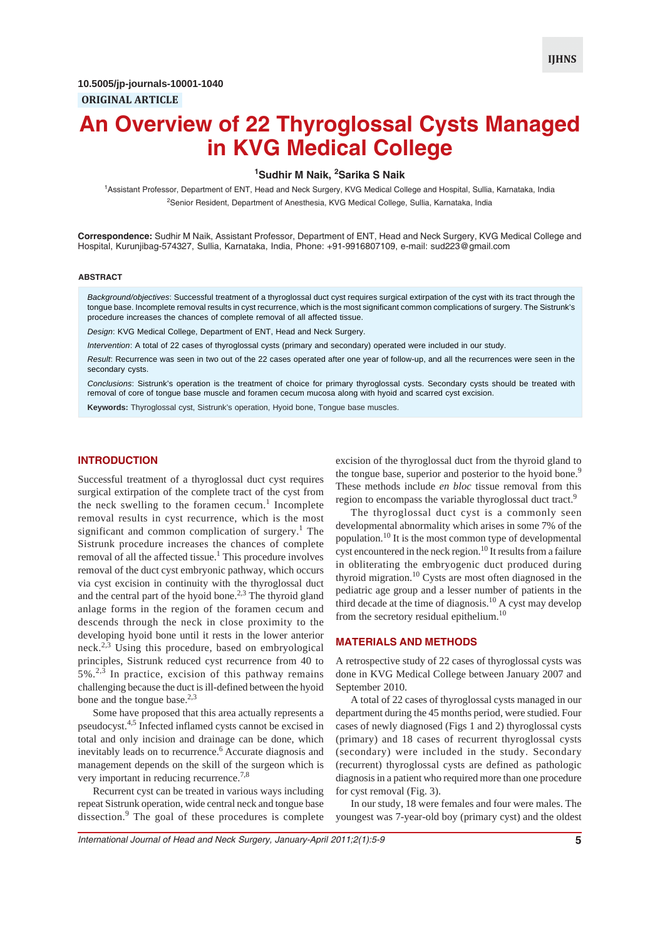# **An Overview of 22 Thyroglossal Cysts Managed in KVG Medical College**

## **1 Sudhir M Naik, <sup>2</sup> Sarika S Naik**

1 Assistant Professor, Department of ENT, Head and Neck Surgery, KVG Medical College and Hospital, Sullia, Karnataka, India <sup>2</sup>Senior Resident, Department of Anesthesia, KVG Medical College, Sullia, Karnataka, India

**Correspondence:** Sudhir M Naik, Assistant Professor, Department of ENT, Head and Neck Surgery, KVG Medical College and Hospital, Kurunjibag-574327, Sullia, Karnataka, India, Phone: +91-9916807109, e-mail: sud223@gmail.com

#### **ABSTRACT**

*Background/objectives*: Successful treatment of a thyroglossal duct cyst requires surgical extirpation of the cyst with its tract through the tongue base. Incomplete removal results in cyst recurrence, which is the most significant common complications of surgery. The Sistrunk's procedure increases the chances of complete removal of all affected tissue.

*Design*: KVG Medical College, Department of ENT, Head and Neck Surgery.

*Intervention*: A total of 22 cases of thyroglossal cysts (primary and secondary) operated were included in our study.

*Result*: Recurrence was seen in two out of the 22 cases operated after one year of follow-up, and all the recurrences were seen in the secondary cysts.

*Conclusions*: Sistrunk's operation is the treatment of choice for primary thyroglossal cysts. Secondary cysts should be treated with removal of core of tongue base muscle and foramen cecum mucosa along with hyoid and scarred cyst excision.

**Keywords:** Thyroglossal cyst, Sistrunk's operation, Hyoid bone, Tongue base muscles.

### **INTRODUCTION**

Successful treatment of a thyroglossal duct cyst requires surgical extirpation of the complete tract of the cyst from the neck swelling to the foramen cecum.<sup>1</sup> Incomplete removal results in cyst recurrence, which is the most significant and common complication of surgery.<sup>1</sup> The Sistrunk procedure increases the chances of complete removal of all the affected tissue.<sup>1</sup> This procedure involves removal of the duct cyst embryonic pathway, which occurs via cyst excision in continuity with the thyroglossal duct and the central part of the hyoid bone.<sup>2,3</sup> The thyroid gland anlage forms in the region of the foramen cecum and descends through the neck in close proximity to the developing hyoid bone until it rests in the lower anterior neck.2,3 Using this procedure, based on embryological principles, Sistrunk reduced cyst recurrence from 40 to  $5\%$ <sup>2,3</sup> In practice, excision of this pathway remains challenging because the duct is ill-defined between the hyoid bone and the tongue base.<sup>2,3</sup>

Some have proposed that this area actually represents a pseudocyst.4,5 Infected inflamed cysts cannot be excised in total and only incision and drainage can be done, which inevitably leads on to recurrence.<sup>6</sup> Accurate diagnosis and management depends on the skill of the surgeon which is very important in reducing recurrence.<sup>7,8</sup>

Recurrent cyst can be treated in various ways including repeat Sistrunk operation, wide central neck and tongue base dissection.<sup>9</sup> The goal of these procedures is complete

excision of the thyroglossal duct from the thyroid gland to the tongue base, superior and posterior to the hyoid bone.<sup>9</sup> These methods include *en bloc* tissue removal from this region to encompass the variable thyroglossal duct tract.<sup>9</sup>

The thyroglossal duct cyst is a commonly seen developmental abnormality which arises in some 7% of the population.10 It is the most common type of developmental cyst encountered in the neck region.<sup>10</sup> It results from a failure in obliterating the embryogenic duct produced during thyroid migration.10 Cysts are most often diagnosed in the pediatric age group and a lesser number of patients in the third decade at the time of diagnosis.<sup>10</sup> A cyst may develop from the secretory residual epithelium.<sup>10</sup>

## **MATERIALS AND METHODS**

A retrospective study of 22 cases of thyroglossal cysts was done in KVG Medical College between January 2007 and September 2010.

A total of 22 cases of thyroglossal cysts managed in our department during the 45 months period, were studied. Four cases of newly diagnosed (Figs 1 and 2) thyroglossal cysts (primary) and 18 cases of recurrent thyroglossal cysts (secondary) were included in the study. Secondary (recurrent) thyroglossal cysts are defined as pathologic diagnosis in a patient who required more than one procedure for cyst removal (Fig. 3).

In our study, 18 were females and four were males. The youngest was 7-year-old boy (primary cyst) and the oldest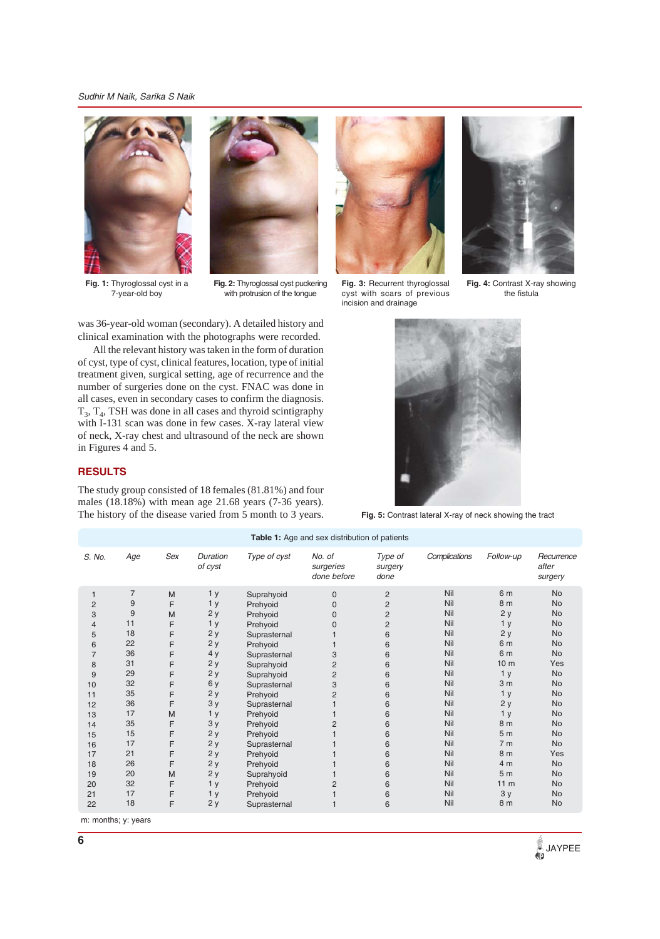*Sudhir M Naik, Sarika S Naik*



**Fig. 1:** Thyroglossal cyst in a 7-year-old boy



**Fig. 2:** Thyroglossal cyst puckering with protrusion of the tongue



All the relevant history was taken in the form of duration of cyst, type of cyst, clinical features, location, type of initial treatment given, surgical setting, age of recurrence and the number of surgeries done on the cyst. FNAC was done in all cases, even in secondary cases to confirm the diagnosis.  $T_3$ ,  $T_4$ , TSH was done in all cases and thyroid scintigraphy with I-131 scan was done in few cases. X-ray lateral view of neck, X-ray chest and ultrasound of the neck are shown in Figures 4 and 5.

# **RESULTS**

The study group consisted of 18 females (81.81%) and four males (18.18%) with mean age 21.68 years (7-36 years). The history of the disease varied from 5 month to 3 years.



**Fig. 3:** Recurrent thyroglossal cyst with scars of previous incision and drainage



**Fig. 4:** Contrast X-ray showing the fistula



**Fig. 5:** Contrast lateral X-ray of neck showing the tract

| Table 1: Age and sex distribution of patients                                                                                        |                                                                                                                                            |                                                                                                            |                                                                                                                                                                                                           |                                                                                                                                                                                                                                                                                                      |                                                                                                                                                 |                                                                                                                                                                |                                                                                                                                                        |                                                                                                                                                                                                                                                                               |                                                                                                                                                                                                                                                                                |
|--------------------------------------------------------------------------------------------------------------------------------------|--------------------------------------------------------------------------------------------------------------------------------------------|------------------------------------------------------------------------------------------------------------|-----------------------------------------------------------------------------------------------------------------------------------------------------------------------------------------------------------|------------------------------------------------------------------------------------------------------------------------------------------------------------------------------------------------------------------------------------------------------------------------------------------------------|-------------------------------------------------------------------------------------------------------------------------------------------------|----------------------------------------------------------------------------------------------------------------------------------------------------------------|--------------------------------------------------------------------------------------------------------------------------------------------------------|-------------------------------------------------------------------------------------------------------------------------------------------------------------------------------------------------------------------------------------------------------------------------------|--------------------------------------------------------------------------------------------------------------------------------------------------------------------------------------------------------------------------------------------------------------------------------|
| S. No.                                                                                                                               | Age                                                                                                                                        | Sex                                                                                                        | Duration<br>of cyst                                                                                                                                                                                       | Type of cyst                                                                                                                                                                                                                                                                                         | No. of<br>surgeries<br>done before                                                                                                              | Type of<br>surgery<br>done                                                                                                                                     | Complications                                                                                                                                          | Follow-up                                                                                                                                                                                                                                                                     | Recurrence<br>after<br>surgery                                                                                                                                                                                                                                                 |
| 1<br>$\overline{2}$<br>3<br>4<br>5<br>6<br>7<br>8<br>9<br>10<br>11<br>12<br>13<br>14<br>15<br>16<br>17<br>18<br>19<br>20<br>21<br>22 | $\overline{7}$<br>9<br>9<br>11<br>18<br>22<br>36<br>31<br>29<br>32<br>35<br>36<br>17<br>35<br>15<br>17<br>21<br>26<br>20<br>32<br>17<br>18 | M<br>F<br>M<br>F<br>F<br>F<br>F<br>F<br>F<br>F<br>F<br>F<br>M<br>F<br>F<br>F<br>F<br>F<br>M<br>F<br>F<br>F | 1 <sub>y</sub><br>1 <sub>y</sub><br>2y<br>1 <sub>y</sub><br>2y<br>2y<br>4 y<br>2y<br>2y<br>6y<br>2y<br>3y<br>1 <sub>y</sub><br>3y<br>2y<br>2y<br>2y<br>2y<br>2y<br>1 <sub>y</sub><br>1 <sub>y</sub><br>2y | Suprahyoid<br>Prehyoid<br>Prehyoid<br>Prehyoid<br>Suprasternal<br>Prehyoid<br>Suprasternal<br>Suprahyoid<br>Suprahyoid<br>Suprasternal<br>Prehyoid<br>Suprasternal<br>Prehyoid<br>Prehyoid<br>Prehyoid<br>Suprasternal<br>Prehyoid<br>Prehyoid<br>Suprahyoid<br>Prehyoid<br>Prehyoid<br>Suprasternal | $\mathbf 0$<br>$\Omega$<br>$\mathbf 0$<br>0<br>3<br>$\overline{2}$<br>$\overline{c}$<br>3<br>$\overline{2}$<br>$\overline{2}$<br>$\overline{2}$ | $\overline{c}$<br>$\overline{2}$<br>$\overline{c}$<br>$\overline{c}$<br>6<br>6<br>6<br>6<br>6<br>6<br>6<br>6<br>6<br>6<br>6<br>6<br>6<br>6<br>6<br>6<br>6<br>6 | Nil<br>Nil<br>Nil<br>Nil<br>Nil<br>Nil<br>Nil<br>Nil<br>Nil<br>Nil<br>Nil<br>Nil<br>Nil<br>Nil<br>Nil<br>Nil<br>Nil<br>Nil<br>Nil<br>Nil<br>Nil<br>Nil | 6 m<br>8 m<br>2y<br>1 <sub>y</sub><br>2y<br>6 m<br>6 m<br>10 <sub>m</sub><br>1 <sub>y</sub><br>3 <sub>m</sub><br>1 <sub>y</sub><br>2y<br>1 <sub>y</sub><br>8 m<br>5 <sub>m</sub><br>7 <sub>m</sub><br>8 m<br>4 <sub>m</sub><br>5 <sub>m</sub><br>11 <sub>m</sub><br>3y<br>8 m | <b>No</b><br><b>No</b><br><b>No</b><br><b>No</b><br><b>No</b><br><b>No</b><br><b>No</b><br>Yes<br><b>No</b><br><b>No</b><br><b>No</b><br><b>No</b><br><b>No</b><br><b>No</b><br><b>No</b><br><b>No</b><br>Yes<br><b>No</b><br><b>No</b><br><b>No</b><br><b>No</b><br><b>No</b> |
|                                                                                                                                      |                                                                                                                                            |                                                                                                            |                                                                                                                                                                                                           |                                                                                                                                                                                                                                                                                                      |                                                                                                                                                 |                                                                                                                                                                |                                                                                                                                                        |                                                                                                                                                                                                                                                                               |                                                                                                                                                                                                                                                                                |

m: months; y: years

**JAYPEE**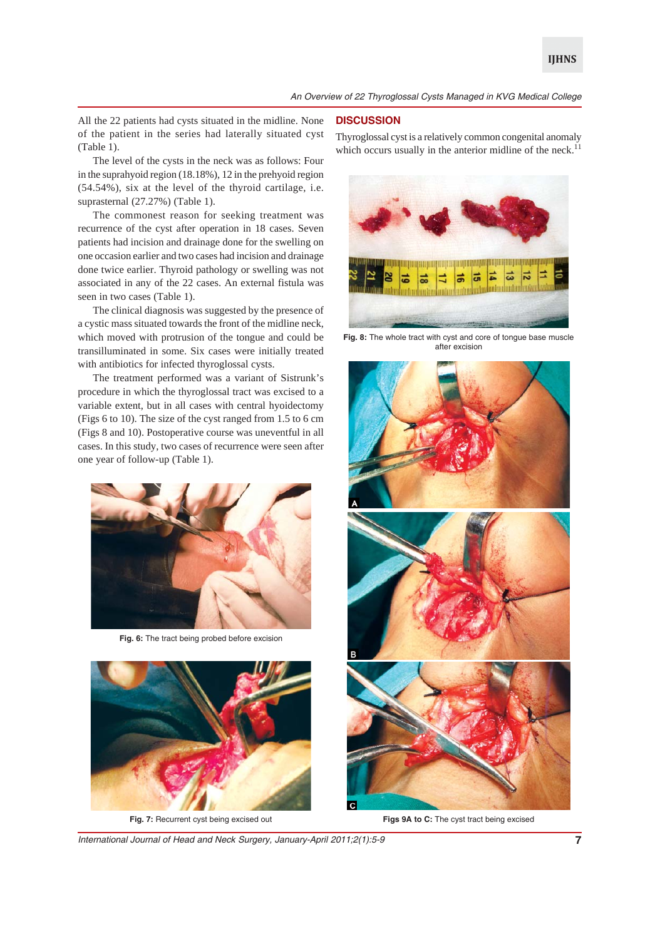All the 22 patients had cysts situated in the midline. None of the patient in the series had laterally situated cyst (Table 1).

The level of the cysts in the neck was as follows: Four in the suprahyoid region (18.18%), 12 in the prehyoid region (54.54%), six at the level of the thyroid cartilage, i.e. suprasternal (27.27%) (Table 1).

The commonest reason for seeking treatment was recurrence of the cyst after operation in 18 cases. Seven patients had incision and drainage done for the swelling on one occasion earlier and two cases had incision and drainage done twice earlier. Thyroid pathology or swelling was not associated in any of the 22 cases. An external fistula was seen in two cases (Table 1).

The clinical diagnosis was suggested by the presence of a cystic mass situated towards the front of the midline neck, which moved with protrusion of the tongue and could be transilluminated in some. Six cases were initially treated with antibiotics for infected thyroglossal cysts.

The treatment performed was a variant of Sistrunk's procedure in which the thyroglossal tract was excised to a variable extent, but in all cases with central hyoidectomy (Figs 6 to 10). The size of the cyst ranged from 1.5 to 6 cm (Figs 8 and 10). Postoperative course was uneventful in all cases. In this study, two cases of recurrence were seen after one year of follow-up (Table 1).



**Fig. 6:** The tract being probed before excision



**Fig. 7:** Recurrent cyst being excised out

## **DISCUSSION**

Thyroglossal cyst is a relatively common congenital anomaly which occurs usually in the anterior midline of the neck. $11$ 



**Fig. 8:** The whole tract with cyst and core of tongue base muscle after excision



**Figs 9A to C:** The cyst tract being excised

*International Journal of Head and Neck Surgery, January-April 2011;2(1):5-9* **7**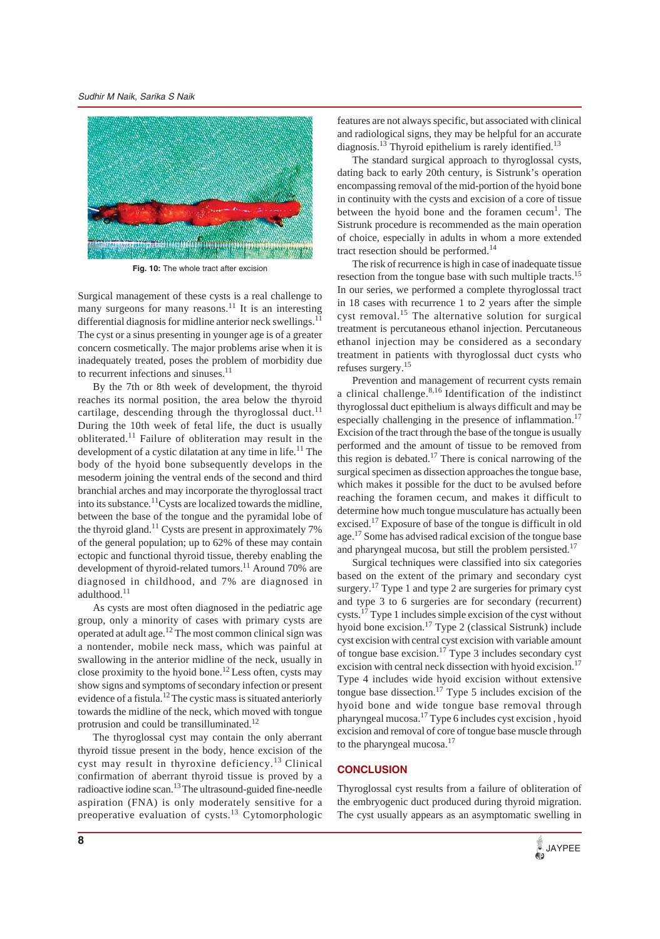*Sudhir M Naik, Sarika S Naik*



**Fig. 10:** The whole tract after excision

Surgical management of these cysts is a real challenge to many surgeons for many reasons.<sup>11</sup> It is an interesting differential diagnosis for midline anterior neck swellings. $^{11}$ The cyst or a sinus presenting in younger age is of a greater concern cosmetically. The major problems arise when it is inadequately treated, poses the problem of morbidity due to recurrent infections and sinuses. $11$ 

By the 7th or 8th week of development, the thyroid reaches its normal position, the area below the thyroid cartilage, descending through the thyroglossal duct.<sup>11</sup> During the 10th week of fetal life, the duct is usually obliterated.11 Failure of obliteration may result in the development of a cystic dilatation at any time in life.<sup>11</sup> The body of the hyoid bone subsequently develops in the mesoderm joining the ventral ends of the second and third branchial arches and may incorporate the thyroglossal tract into its substance.<sup>11</sup>Cysts are localized towards the midline, between the base of the tongue and the pyramidal lobe of the thyroid gland.<sup>11</sup> Cysts are present in approximately  $7\%$ of the general population; up to 62% of these may contain ectopic and functional thyroid tissue, thereby enabling the development of thyroid-related tumors.<sup>11</sup> Around 70% are diagnosed in childhood, and 7% are diagnosed in adulthood.<sup>11</sup>

As cysts are most often diagnosed in the pediatric age group, only a minority of cases with primary cysts are operated at adult age.12 The most common clinical sign was a nontender, mobile neck mass, which was painful at swallowing in the anterior midline of the neck, usually in close proximity to the hyoid bone.12 Less often, cysts may show signs and symptoms of secondary infection or present evidence of a fistula.12 The cystic mass is situated anteriorly towards the midline of the neck, which moved with tongue protrusion and could be transilluminated.<sup>12</sup>

The thyroglossal cyst may contain the only aberrant thyroid tissue present in the body, hence excision of the cyst may result in thyroxine deficiency.13 Clinical confirmation of aberrant thyroid tissue is proved by a radioactive iodine scan.13 The ultrasound-guided fine-needle aspiration (FNA) is only moderately sensitive for a preoperative evaluation of cysts.13 Cytomorphologic features are not always specific, but associated with clinical and radiological signs, they may be helpful for an accurate diagnosis.<sup>13</sup> Thyroid epithelium is rarely identified.<sup>13</sup>

The standard surgical approach to thyroglossal cysts, dating back to early 20th century, is Sistrunk's operation encompassing removal of the mid-portion of the hyoid bone in continuity with the cysts and excision of a core of tissue between the hyoid bone and the foramen  $c$ ecum<sup>1</sup>. The Sistrunk procedure is recommended as the main operation of choice, especially in adults in whom a more extended tract resection should be performed.<sup>14</sup>

The risk of recurrence is high in case of inadequate tissue resection from the tongue base with such multiple tracts.<sup>15</sup> In our series, we performed a complete thyroglossal tract in 18 cases with recurrence 1 to 2 years after the simple cyst removal.<sup>15</sup> The alternative solution for surgical treatment is percutaneous ethanol injection. Percutaneous ethanol injection may be considered as a secondary treatment in patients with thyroglossal duct cysts who refuses surgery.15

Prevention and management of recurrent cysts remain a clinical challenge.8,16 Identification of the indistinct thyroglossal duct epithelium is always difficult and may be especially challenging in the presence of inflammation.<sup>17</sup> Excision of the tract through the base of the tongue is usually performed and the amount of tissue to be removed from this region is debated.<sup>17</sup> There is conical narrowing of the surgical specimen as dissection approaches the tongue base, which makes it possible for the duct to be avulsed before reaching the foramen cecum, and makes it difficult to determine how much tongue musculature has actually been excised.<sup>17</sup> Exposure of base of the tongue is difficult in old age.17 Some has advised radical excision of the tongue base and pharyngeal mucosa, but still the problem persisted.<sup>17</sup>

Surgical techniques were classified into six categories based on the extent of the primary and secondary cyst surgery.<sup>17</sup> Type 1 and type 2 are surgeries for primary cyst and type 3 to 6 surgeries are for secondary (recurrent) cysts.17 Type 1 includes simple excision of the cyst without hyoid bone excision.17 Type 2 (classical Sistrunk) include cyst excision with central cyst excision with variable amount of tongue base excision.<sup>17</sup> Type 3 includes secondary cyst excision with central neck dissection with hyoid excision.<sup>17</sup> Type 4 includes wide hyoid excision without extensive tongue base dissection.<sup>17</sup> Type 5 includes excision of the hyoid bone and wide tongue base removal through pharyngeal mucosa.17 Type 6 includes cyst excision , hyoid excision and removal of core of tongue base muscle through to the pharyngeal mucosa.<sup>17</sup>

## **CONCLUSION**

Thyroglossal cyst results from a failure of obliteration of the embryogenic duct produced during thyroid migration. The cyst usually appears as an asymptomatic swelling in